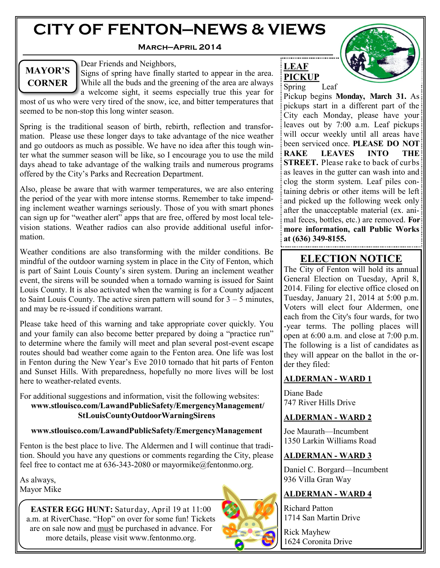# **CITY OF FENTON—NEWS & VIEWS**

### **March—April 2014**



Dear Friends and Neighbors,

Signs of spring have finally started to appear in the area. While all the buds and the greening of the area are always a welcome sight, it seems especially true this year for most of us who were very tired of the snow, ice, and bitter temperatures that seemed to be non-stop this long winter season.

Spring is the traditional season of birth, rebirth, reflection and transformation. Please use these longer days to take advantage of the nice weather and go outdoors as much as possible. We have no idea after this tough winter what the summer season will be like, so I encourage you to use the mild days ahead to take advantage of the walking trails and numerous programs offered by the City's Parks and Recreation Department.

Also, please be aware that with warmer temperatures, we are also entering the period of the year with more intense storms. Remember to take impending inclement weather warnings seriously. Those of you with smart phones can sign up for "weather alert" apps that are free, offered by most local television stations. Weather radios can also provide additional useful information.

Weather conditions are also transforming with the milder conditions. Be mindful of the outdoor warning system in place in the City of Fenton, which is part of Saint Louis County's siren system. During an inclement weather event, the sirens will be sounded when a tornado warning is issued for Saint Louis County. It is also activated when the warning is for a County adjacent to Saint Louis County. The active siren pattern will sound for  $3 - 5$  minutes, and may be re-issued if conditions warrant.

Please take heed of this warning and take appropriate cover quickly. You and your family can also become better prepared by doing a "practice run" to determine where the family will meet and plan several post-event escape routes should bad weather come again to the Fenton area. One life was lost in Fenton during the New Year's Eve 2010 tornado that hit parts of Fenton and Sunset Hills. With preparedness, hopefully no more lives will be lost here to weather-related events.

For additional suggestions and information, visit the following websites: **www.stlouisco.com/LawandPublicSafety/EmergencyManagement/ StLouisCountyOutdoorWarningSirens** 

### **www.stlouisco.com/LawandPublicSafety/EmergencyManagement**

Fenton is the best place to live. The Aldermen and I will continue that tradition. Should you have any questions or comments regarding the City, please feel free to contact me at 636-343-2080 or mayormike@fentonmo.org.

As always, Mayor Mike

> **EASTER EGG HUNT:** Saturday, April 19 at 11:00 a.m. at RiverChase. "Hop" on over for some fun! Tickets are on sale now and must be purchased in advance. For more details, please visit www.fentonmo.org.





Pickup begins **Monday, March 31.** As pickups start in a different part of the City each Monday, please have your leaves out by 7:00 a.m. Leaf pickups will occur weekly until all areas have been serviced once. **PLEASE DO NOT RAKE LEAVES INTO THE STREET.** Please rake to back of curbs: as leaves in the gutter can wash into and clog the storm system. Leaf piles containing debris or other items will be left and picked up the following week only after the unacceptable material (ex. animal feces, bottles, etc.) are removed. **For more information, call Public Works at (636) 349-8155.**

**LEAF PICKUP**

## **ELECTION NOTICE**

The City of Fenton will hold its annual General Election on Tuesday, April 8, 2014. Filing for elective office closed on Tuesday, January 21, 2014 at 5:00 p.m. Voters will elect four Aldermen, one each from the City's four wards, for two -year terms. The polling places will open at 6:00 a.m. and close at 7:00 p.m. The following is a list of candidates as they will appear on the ballot in the order they filed:

### **ALDERMAN - WARD 1**

Diane Bade 747 River Hills Drive

### **ALDERMAN - WARD 2**

Joe Maurath—Incumbent 1350 Larkin Williams Road

## **ALDERMAN - WARD 3**

Daniel C. Borgard—Incumbent 936 Villa Gran Way

### **ALDERMAN - WARD 4**

Richard Patton 1714 San Martin Drive

Rick Mayhew 1624 Coronita Drive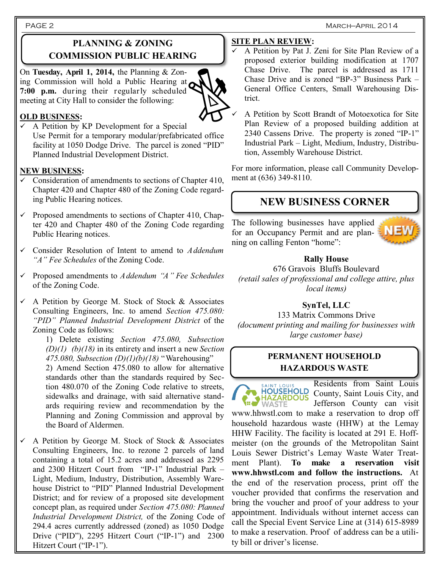## **PLANNING & ZONING COMMISSION PUBLIC HEARING**

On **Tuesday, April 1, 2014,** the Planning & Zoning Commission will hold a Public Hearing at **7:00 p.m.** during their regularly scheduled meeting at City Hall to consider the following:



### **OLD BUSINESS:**

 A Petition by KP Development for a Special Use Permit for a temporary modular/prefabricated office facility at 1050 Dodge Drive. The parcel is zoned "PID" Planned Industrial Development District.

### **NEW BUSINESS:**

- $\checkmark$  Consideration of amendments to sections of Chapter 410, Chapter 420 and Chapter 480 of the Zoning Code regarding Public Hearing notices.
- $\checkmark$  Proposed amendments to sections of Chapter 410, Chapter 420 and Chapter 480 of the Zoning Code regarding Public Hearing notices.
- Consider Resolution of Intent to amend to *Addendum "A" Fee Schedules* of the Zoning Code.
- Proposed amendments to *Addendum "A" Fee Schedules* of the Zoning Code.
- $\checkmark$  A Petition by George M. Stock of Stock & Associates Consulting Engineers, Inc. to amend *Section 475.080: "PID" Planned Industrial Development District* of the Zoning Code as follows:

1) Delete existing *Section 475.080, Subsection (D)(1) (b)(18)* in its entirety and insert a new *Section 475.080, Subsection (D)(1)(b)(18)* "Warehousing"

2) Amend Section 475.080 to allow for alternative standards other than the standards required by Section 480.070 of the Zoning Code relative to streets, sidewalks and drainage, with said alternative standards requiring review and recommendation by the Planning and Zoning Commission and approval by the Board of Aldermen.

 $\checkmark$  A Petition by George M. Stock of Stock & Associates Consulting Engineers, Inc. to rezone 2 parcels of land containing a total of 15.2 acres and addressed as 2295 and 2300 Hitzert Court from "IP-1" Industrial Park – Light, Medium, Industry, Distribution, Assembly Warehouse District to "PID" Planned Industrial Development District; and for review of a proposed site development concept plan, as required under *Section 475.080: Planned Industrial Development District,* of the Zoning Code of 294.4 acres currently addressed (zoned) as 1050 Dodge Drive ("PID"), 2295 Hitzert Court ("IP-1") and 2300 Hitzert Court ("IP-1").

### **SITE PLAN REVIEW:**

- A Petition by Pat J. Zeni for Site Plan Review of a proposed exterior building modification at 1707 Chase Drive. The parcel is addressed as 1711 Chase Drive and is zoned "BP-3" Business Park – General Office Centers, Small Warehousing District.
- A Petition by Scott Brandt of Motoexotica for Site Plan Review of a proposed building addition at 2340 Cassens Drive. The property is zoned "IP-1" Industrial Park – Light, Medium, Industry, Distribution, Assembly Warehouse District.

For more information, please call Community Development at (636) 349-8110.

## **NEW BUSINESS CORNER**

The following businesses have applied for an Occupancy Permit and are planning on calling Fenton "home":



### **Rally House**

676 Gravois Bluffs Boulevard *(retail sales of professional and college attire, plus local items)*

### **SynTel, LLC**

133 Matrix Commons Drive *(document printing and mailing for businesses with large customer base)*

### **PERMANENT HOUSEHOLD HAZARDOUS WASTE**

**HOUSEHOLD HAZARDOUS** 

Residents from Saint Louis County, Saint Louis City, and Jefferson County can visit

www.hhwstl.com to make a reservation to drop off household hazardous waste (HHW) at the Lemay HHW Facility. The facility is located at 291 E. Hoffmeister (on the grounds of the Metropolitan Saint Louis Sewer District's Lemay Waste Water Treatment Plant). **To make a reservation visit www.hhwstl.com and follow the instructions.** At the end of the reservation process, print off the voucher provided that confirms the reservation and bring the voucher and proof of your address to your appointment. Individuals without internet access can call the Special Event Service Line at (314) 615-8989 to make a reservation. Proof of address can be a utility bill or driver's license.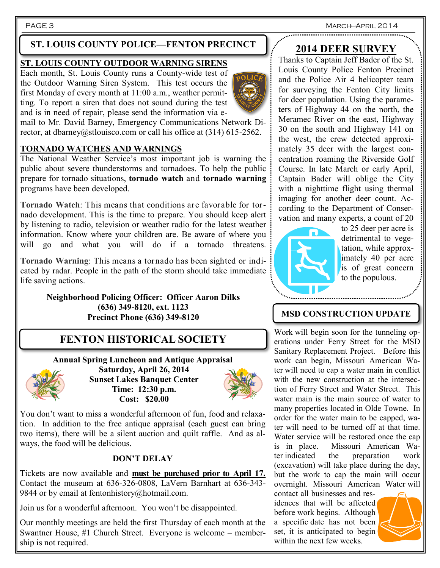PAGE 3 MARCH—APRIL 2014 ................................

## **ST. LOUIS COUNTY POLICE—FENTON PRECINCT**

## **ST. LOUIS COUNTY OUTDOOR WARNING SIRENS**

Each month, St. Louis County runs a County-wide test of the Outdoor Warning Siren System. This test occurs the first Monday of every month at 11:00 a.m., weather permitting. To report a siren that does not sound during the test and is in need of repair, please send the information via e-



mail to Mr. David Barney, Emergency Communications Network Director, at dbarney@stlouisco.com or call his office at (314) 615-2562.

## **TORNADO WATCHES AND WARNINGS**

The National Weather Service's most important job is warning the public about severe thunderstorms and tornadoes. To help the public prepare for tornado situations, **tornado watch** and **tornado warning** programs have been developed.

**Tornado Watch**: This means that conditions are favorable for tornado development. This is the time to prepare. You should keep alert by listening to radio, television or weather radio for the latest weather information. Know where your children are. Be aware of where you will go and what you will do if a tornado threatens.

**Tornado Warning**: This means a tornado has been sighted or indicated by radar. People in the path of the storm should take immediate life saving actions.

> **Neighborhood Policing Officer: Officer Aaron Dilks (636) 349-8120, ext. 1123 Precinct Phone (636) 349-8120**

## **FENTON HISTORICAL SOCIETY**

**Annual Spring Luncheon and Antique Appraisal Saturday, April 26, 2014 Sunset Lakes Banquet Center Time: 12:30 p.m. Cost: \$20.00**



You don't want to miss a wonderful afternoon of fun, food and relaxation. In addition to the free antique appraisal (each guest can bring two items), there will be a silent auction and quilt raffle. And as always, the food will be delicious.

### **DON'T DELAY**

Tickets are now available and **must be purchased prior to April 17.** Contact the museum at 636-326-0808, LaVern Barnhart at 636-343- 9844 or by email at fentonhistory@hotmail.com.

Join us for a wonderful afternoon. You won't be disappointed.

Our monthly meetings are held the first Thursday of each month at the Swantner House, #1 Church Street. Everyone is welcome – membership is not required.

## **2014 DEER SURVEY**

Thanks to Captain Jeff Bader of the St. Louis County Police Fenton Precinct and the Police Air 4 helicopter team for surveying the Fenton City limits for deer population. Using the parameters of Highway 44 on the north, the Meramec River on the east, Highway 30 on the south and Highway 141 on the west, the crew detected approximately 35 deer with the largest concentration roaming the Riverside Golf Course. In late March or early April, Captain Bader will oblige the City with a nighttime flight using thermal imaging for another deer count. According to the Department of Conservation and many experts, a count of 20



to 25 deer per acre is detrimental to vegetation, while approximately 40 per acre is of great concern to the populous.

## **MSD CONSTRUCTION UPDATE**

Work will begin soon for the tunneling operations under Ferry Street for the MSD Sanitary Replacement Project. Before this work can begin, Missouri American Water will need to cap a water main in conflict with the new construction at the intersection of Ferry Street and Water Street. This water main is the main source of water to many properties located in Olde Towne. In order for the water main to be capped, water will need to be turned off at that time. Water service will be restored once the cap is in place. Missouri American Water indicated the preparation work (excavation) will take place during the day, but the work to cap the main will occur overnight. Missouri American Water will

contact all businesses and residences that will be affected before work begins. Although a specific date has not been set, it is anticipated to begin within the next few weeks.

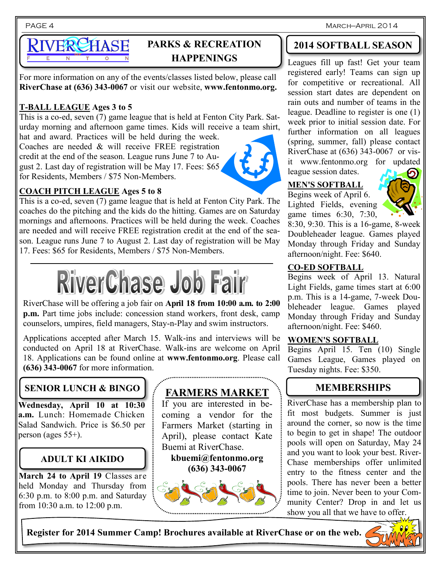PAGE 4 March—April 2014

# VERCHASE

## **PARKS & RECREATION HAPPENINGS**

For more information on any of the events/classes listed below, please call **RiverChase at (636) 343-0067** or visit our website, **www.fentonmo.org.**

## **T-BALL LEAGUE Ages 3 to 5**

This is a co-ed, seven (7) game league that is held at Fenton City Park. Saturday morning and afternoon game times. Kids will receive a team shirt,

hat and award. Practices will be held during the week. Coaches are needed & will receive FREE registration credit at the end of the season. League runs June 7 to August 2. Last day of registration will be May 17. Fees: \$65 for Residents, Members / \$75 Non-Members.



## **COACH PITCH LEAGUE Ages 5 to 8**

This is a co-ed, seven (7) game league that is held at Fenton City Park. The coaches do the pitching and the kids do the hitting. Games are on Saturday mornings and afternoons. Practices will be held during the week. Coaches are needed and will receive FREE registration credit at the end of the season. League runs June 7 to August 2. Last day of registration will be May 17. Fees: \$65 for Residents, Members / \$75 Non-Members.



RiverChase will be offering a job fair on **April 18 from 10:00 a.m. to 2:00 p.m.** Part time jobs include: concession stand workers, front desk, camp counselors, umpires, field managers, Stay-n-Play and swim instructors.

Applications accepted after March 15. Walk-ins and interviews will be conducted on April 18 at RiverChase. Walk-ins are welcome on April 18. Applications can be found online at **www.fentonmo.org**. Please call **(636) 343-0067** for more information.

## **SENIOR LUNCH & BINGO**

**Wednesday, April 10 at 10:30 a.m.** Lunch: Homemade Chicken Salad Sandwich. Price is \$6.50 per person (ages 55+).

## **ADULT KI AIKIDO**

**March 24 to April 19** Classes are held Monday and Thursday from 6:30 p.m. to 8:00 p.m. and Saturday from 10:30 a.m. to 12:00 p.m.

## **FARMERS MARKET**

If you are interested in becoming a vendor for the Farmers Market (starting in April), please contact Kate Buemi at RiverChase.

**kbuemi@fentonmo.org (636) 343-0067**



## **2014 SOFTBALL SEASON**

Leagues fill up fast! Get your team registered early! Teams can sign up for competitive or recreational. All session start dates are dependent on rain outs and number of teams in the league. Deadline to register is one (1) week prior to initial session date. For further information on all leagues (spring, summer, fall) please contact RiverChase at (636) 343-0067 or visit www.fentonmo.org for updated league session dates.

## **MEN'S SOFTBALL**

Begins week of April 6. Lighted Fields, evening game times 6:30, 7:30,



8:30, 9:30. This is a 16-game, 8-week Doubleheader league. Games played Monday through Friday and Sunday afternoon/night. Fee: \$640.

## **CO-ED SOFTBALL**

Begins week of April 13. Natural Light Fields, game times start at 6:00 p.m. This is a 14-game, 7-week Doubleheader league. Games played Monday through Friday and Sunday afternoon/night. Fee: \$460.

### **WOMEN'S SOFTBALL**

Begins April 15. Ten (10) Single Games League, Games played on Tuesday nights. Fee: \$350.

## **MEMBERSHIPS**

RiverChase has a membership plan to fit most budgets. Summer is just around the corner, so now is the time to begin to get in shape! The outdoor pools will open on Saturday, May 24 and you want to look your best. River-Chase memberships offer unlimited entry to the fitness center and the pools. There has never been a better time to join. Never been to your Community Center? Drop in and let us show you all that we have to offer.

**Register for 2014 Summer Camp! Brochures available at RiverChase or on the web.**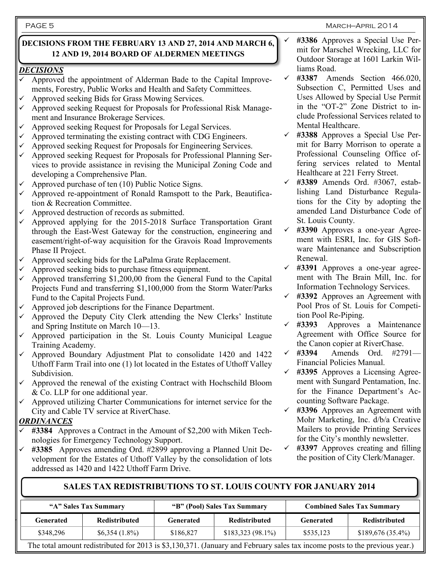March—April 2014

### **DECISIONS FROM THE FEBRUARY 13 AND 27, 2014 AND MARCH 6, 12 AND 19, 2014 BOARD OF ALDERMEN MEETINGS**

### *DECISIONS*

- $\checkmark$  Approved the appointment of Alderman Bade to the Capital Improvements, Forestry, Public Works and Health and Safety Committees.
- Approved seeking Bids for Grass Mowing Services.
- $\checkmark$  Approved seeking Request for Proposals for Professional Risk Management and Insurance Brokerage Services.
- Approved seeking Request for Proposals for Legal Services.
- Approved terminating the existing contract with CDG Engineers.
- Approved seeking Request for Proposals for Engineering Services.
- $\checkmark$  Approved seeking Request for Proposals for Professional Planning Services to provide assistance in revising the Municipal Zoning Code and developing a Comprehensive Plan.
- Approved purchase of ten (10) Public Notice Signs.
- Approved re-appointment of Ronald Ramspott to the Park, Beautification & Recreation Committee.
- Approved destruction of records as submitted.
- Approved applying for the 2015-2018 Surface Transportation Grant through the East-West Gateway for the construction, engineering and easement/right-of-way acquisition for the Gravois Road Improvements Phase II Project.
- Approved seeking bids for the LaPalma Grate Replacement.
- Approved seeking bids to purchase fitness equipment.
- Approved transferring \$1,200,00 from the General Fund to the Capital Projects Fund and transferring \$1,100,000 from the Storm Water/Parks Fund to the Capital Projects Fund.
- $\checkmark$  Approved job descriptions for the Finance Department.
- Approved the Deputy City Clerk attending the New Clerks' Institute and Spring Institute on March 10—13.
- Approved participation in the St. Louis County Municipal League Training Academy.
- Approved Boundary Adjustment Plat to consolidate 1420 and 1422 Uthoff Farm Trail into one (1) lot located in the Estates of Uthoff Valley Subdivision.
- Approved the renewal of the existing Contract with Hochschild Bloom & Co. LLP for one additional year.
- Approved utilizing Charter Communications for internet service for the City and Cable TV service at RiverChase.

### *ORDINANCES*

- **#3384** Approves a Contract in the Amount of \$2,200 with Miken Technologies for Emergency Technology Support.
- **#3385** Approves amending Ord. #2899 approving a Planned Unit Development for the Estates of Uthoff Valley by the consolidation of lots addressed as 1420 and 1422 Uthoff Farm Drive.
- **#3386** Approves a Special Use Permit for Marschel Wrecking, LLC for Outdoor Storage at 1601 Larkin Williams Road.
- **#3387** Amends Section 466.020, Subsection C, Permitted Uses and Uses Allowed by Special Use Permit in the "OT-2" Zone District to include Professional Services related to Mental Healthcare.
- **#3388** Approves a Special Use Permit for Barry Morrison to operate a Professional Counseling Office offering services related to Mental Healthcare at 221 Ferry Street.
- **#3389** Amends Ord. #3067, establishing Land Disturbance Regulations for the City by adopting the amended Land Disturbance Code of St. Louis County.
- **#3390** Approves a one-year Agreement with ESRI, Inc. for GIS Software Maintenance and Subscription Renewal.
- **#3391** Approves a one-year agreement with The Brain Mill, Inc. for Information Technology Services.
- **#3392** Approves an Agreement with Pool Pros of St. Louis for Competition Pool Re-Piping.
- **#3393** Approves a Maintenance Agreement with Office Source for the Canon copier at RiverChase.
- **#3394** Amends Ord. #2791— Financial Policies Manual.
- **#3395** Approves a Licensing Agreement with Sungard Pentamation, Inc. for the Finance Department's Accounting Software Package.
- **#3396** Approves an Agreement with Mohr Marketing, Inc. d/b/a Creative Mailers to provide Printing Services for the City's monthly newsletter.
- **#3397** Approves creating and filling the position of City Clerk/Manager.

## **SALES TAX REDISTRIBUTIONS TO ST. LOUIS COUNTY FOR JANUARY 2014**

| "A" Sales Tax Summary                                                                                                       |                      | "B" (Pool) Sales Tax Summary |                      | <b>Combined Sales Tax Summary</b> |                      |  |
|-----------------------------------------------------------------------------------------------------------------------------|----------------------|------------------------------|----------------------|-----------------------------------|----------------------|--|
| Generated                                                                                                                   | <b>Redistributed</b> | Generated                    | <b>Redistributed</b> | Generated                         | <b>Redistributed</b> |  |
| \$348,296                                                                                                                   | $$6,354(1.8\%)$      | \$186.827                    | $$183,323(98.1\%)$   | \$535,123                         | $$189,676(35.4\%)$   |  |
| The total amount redistributed for 2013 is \$3,130,371. (January and February sales tax income posts to the previous year.) |                      |                              |                      |                                   |                      |  |